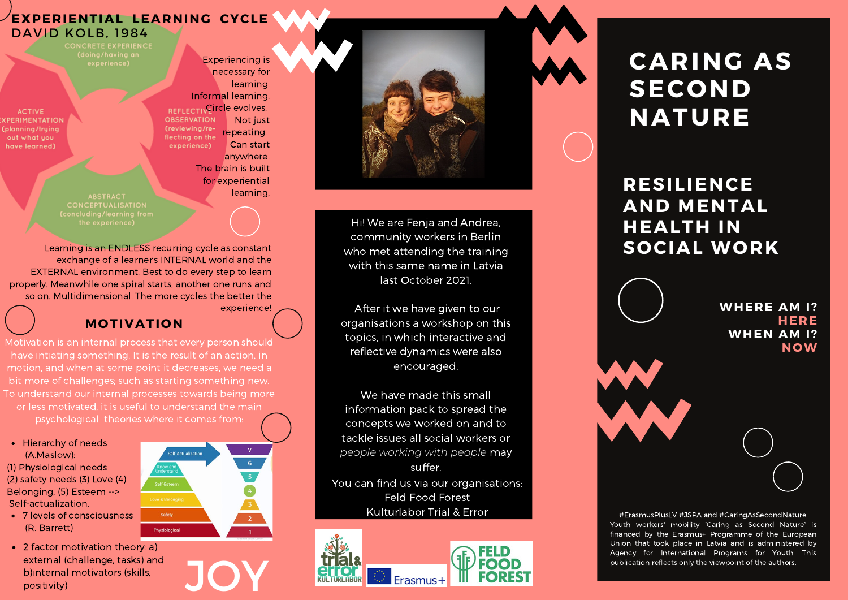#### **EXPERIENTIAL LEARNING CYCLE** DAVID KOLB, 1984

CONCRETE EXPERIENCE

**ACTIVE CPERIMENTATION** planning/trying out what you have learned)

necessary for **learning** Informal learning. **REFLECTIVGITCIE EVOIVES. OBSERVATION** Not just (reviewing/rerepeating. flecting on the experience) Can start anywhere. The brain is built for experiential learning,

Experiencing is

**CONCEPTUALISATION** 

Learning is an ENDLESS recurring cycle as constant exchange of a learner's INTERNAL world and the EXTERNAL environment. Best to do every step to learn properly. Meanwhile one spiral starts, another one runs and so on. Multidimensional. The more cycles the better the experience!

## **MOTIVATION**

Motivation is an internal process that every person should have intiating something. It is the result of an action, in motion, and when at some point it decreases, we need a bit more of challenges; such as starting something new. To understand our internal processes towards being more or less motivated, it is useful to understand the main psychological theories where it comes from:

• Hierarchy of needs (A.Maslow): (1) Physiological needs (2) safety needs (3) Love (4) Belonging, (5) Esteem --> Self-actualization.

- 7 levels of consciousness (R. Barrett)
- 2 factor motivation theory: a) external (challenge, tasks) and<br>
b)internal motivators (skills,<br>
positivity) b)internal motivators (skills,





Hi! We are Fenja and Andrea, community workers in Berlin who met attending the training with this same name in Latvia last October 2021.

After it we have given to our organisations a workshop on this topics, in which interactive and reflective dynamics were also encouraged.

We have made this small information pack to spread the concepts we worked on and to tackle issues all social workers or *people working with people* may suffer.

You can find us via our organisations: Feld Food Forest Kulturlabor Trial & Error



# **CARING AS SECOND NATURE**

## **RESILIENCE AND MENTAL HEALTH IN SOCIAL WORK**



#ErasmusPlusLV #JSPA and #CaringAsSecondNature. Youth workers' mobility "Caring as Second Nature" is financed by the Erasmus+ Programme of the European Union that took place in Latvia and is administered by Agency for International Programs for Youth. This publication reflects only the viewpoint of the authors.